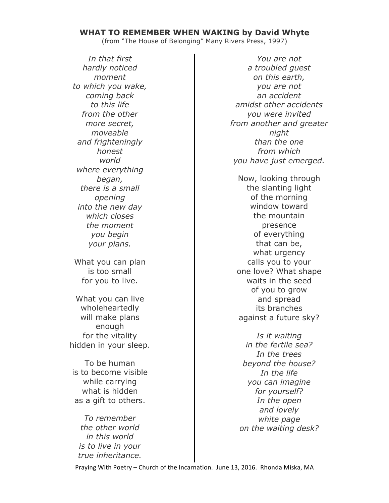### **WHAT TO REMEMBER WHEN WAKING by David Whyte**

(from "The House of Belonging" Many Rivers Press, 1997)

*In that first hardly noticed moment to which you wake, coming back to this life from the other more secret, moveable and frighteningly honest world where everything began, there is a small opening into the new day which closes the moment you begin your plans.*

What you can plan is too small for you to live.

What you can live wholeheartedly will make plans enough for the vitality hidden in your sleep.

To be human is to become visible while carrying what is hidden as a gift to others.

*To remember the other world in this world is to live in your true inheritance.*

*You are not a troubled guest on this earth, you are not an accident amidst other accidents you were invited from another and greater night than the one from which you have just emerged.*

Now, looking through the slanting light of the morning window toward the mountain presence of everything that can be, what urgency calls you to your one love? What shape waits in the seed of you to grow and spread its branches against a future sky?

*Is it waiting in the fertile sea? In the trees beyond the house? In the life you can imagine for yourself? In the open and lovely white page on the waiting desk?*

Praying With Poetry - Church of the Incarnation. June 13, 2016. Rhonda Miska, MA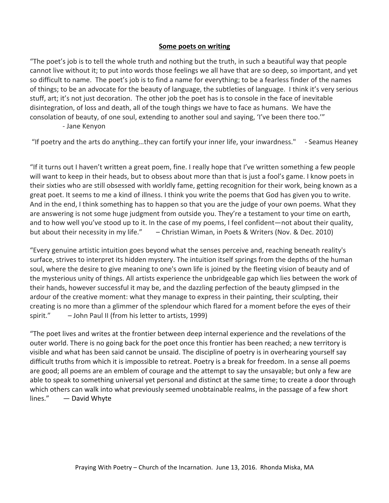## **Some poets on writing**

"The poet's job is to tell the whole truth and nothing but the truth, in such a beautiful way that people cannot live without it; to put into words those feelings we all have that are so deep, so important, and yet so difficult to name. The poet's job is to find a name for everything; to be a fearless finder of the names of things; to be an advocate for the beauty of language, the subtleties of language. I think it's very serious stuff, art; it's not just decoration. The other job the poet has is to console in the face of inevitable disintegration, of loss and death, all of the tough things we have to face as humans. We have the consolation of beauty, of one soul, extending to another soul and saying, 'I've been there too.'" - Jane Kenyon

"If poetry and the arts do anything...they can fortify your inner life, your inwardness." - Seamus Heaney

"If it turns out I haven't written a great poem, fine. I really hope that I've written something a few people will want to keep in their heads, but to obsess about more than that is just a fool's game. I know poets in their sixties who are still obsessed with worldly fame, getting recognition for their work, being known as a great poet. It seems to me a kind of illness. I think you write the poems that God has given you to write. And in the end, I think something has to happen so that you are the judge of your own poems. What they are answering is not some huge judgment from outside you. They're a testament to your time on earth, and to how well you've stood up to it. In the case of my poems, I feel confident—not about their quality, but about their necessity in my life." – Christian Wiman, in Poets & Writers (Nov. & Dec. 2010)

"Every genuine artistic intuition goes beyond what the senses perceive and, reaching beneath reality's surface, strives to interpret its hidden mystery. The intuition itself springs from the depths of the human soul, where the desire to give meaning to one's own life is joined by the fleeting vision of beauty and of the mysterious unity of things. All artists experience the unbridgeable gap which lies between the work of their hands, however successful it may be, and the dazzling perfection of the beauty glimpsed in the ardour of the creative moment: what they manage to express in their painting, their sculpting, their creating is no more than a glimmer of the splendour which flared for a moment before the eyes of their spirit."  $-$  John Paul II (from his letter to artists, 1999)

"The poet lives and writes at the frontier between deep internal experience and the revelations of the outer world. There is no going back for the poet once this frontier has been reached; a new territory is visible and what has been said cannot be unsaid. The discipline of poetry is in overhearing yourself say difficult truths from which it is impossible to retreat. Poetry is a break for freedom. In a sense all poems are good; all poems are an emblem of courage and the attempt to say the unsayable; but only a few are able to speak to something universal yet personal and distinct at the same time; to create a door through which others can walk into what previously seemed unobtainable realms, in the passage of a few short  $lines."$   $-$  David Whyte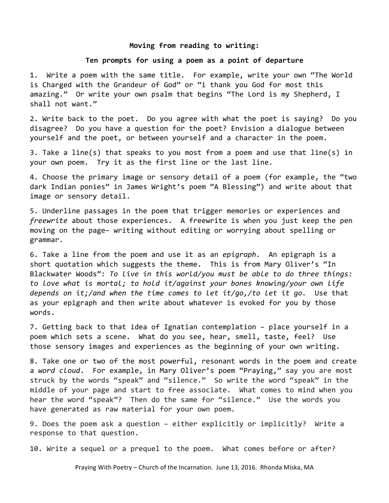#### Moving from reading to writing:

### Ten prompts for using a poem as a point of departure

1. Write a poem with the same title. For example, write your own "The World is Charged with the Grandeur of God" or "i thank you God for most this amazing." Or write your own psalm that begins "The Lord is my Shepherd, I shall not want."

2. Write back to the poet. Do you agree with what the poet is saying? Do you disagree? Do you have a question for the poet? Envision a dialogue between yourself and the poet, or between yourself and a character in the poem.

3. Take a line(s) that speaks to you most from a poem and use that line(s) in your own poem. Try it as the first line or the last line.

4. Choose the primary image or sensory detail of a poem (for example, the "two dark Indian ponies" in James Wright's poem "A Blessing") and write about that image or sensory detail.

5. Underline passages in the poem that trigger memories or experiences and *freewrite* about those experiences. A freewrite is when you just keep the pen moving on the page- writing without editing or worrying about spelling or grammar. 

6. Take a line from the poem and use it as an *epigraph*. An epigraph is a short quotation which suggests the theme. This is from Mary Oliver's "In Blackwater Woods": To live in this world/you must be able to do three things: to love what is mortal; to hold it/against your bones knowing/your own life depends on it;/and when the time comes to let it/go,/to let it go. Use that as your epigraph and then write about whatever is evoked for you by those words.

7. Getting back to that idea of Ignatian contemplation - place yourself in a poem which sets a scene. What do you see, hear, smell, taste, feel? Use those sensory images and experiences as the beginning of your own writing.

8. Take one or two of the most powerful, resonant words in the poem and create a word cloud. For example, in Mary Oliver's poem "Praying," say you are most struck by the words "speak" and "silence." So write the word "speak" in the middle of your page and start to free associate. What comes to mind when you hear the word "speak"? Then do the same for "silence." Use the words you have generated as raw material for your own poem.

9. Does the poem ask a question - either explicitly or implicitly? Write a response to that question.

10. Write a sequel or a prequel to the poem. What comes before or after?

Praying With Poetry - Church of the Incarnation. June 13, 2016. Rhonda Miska, MA